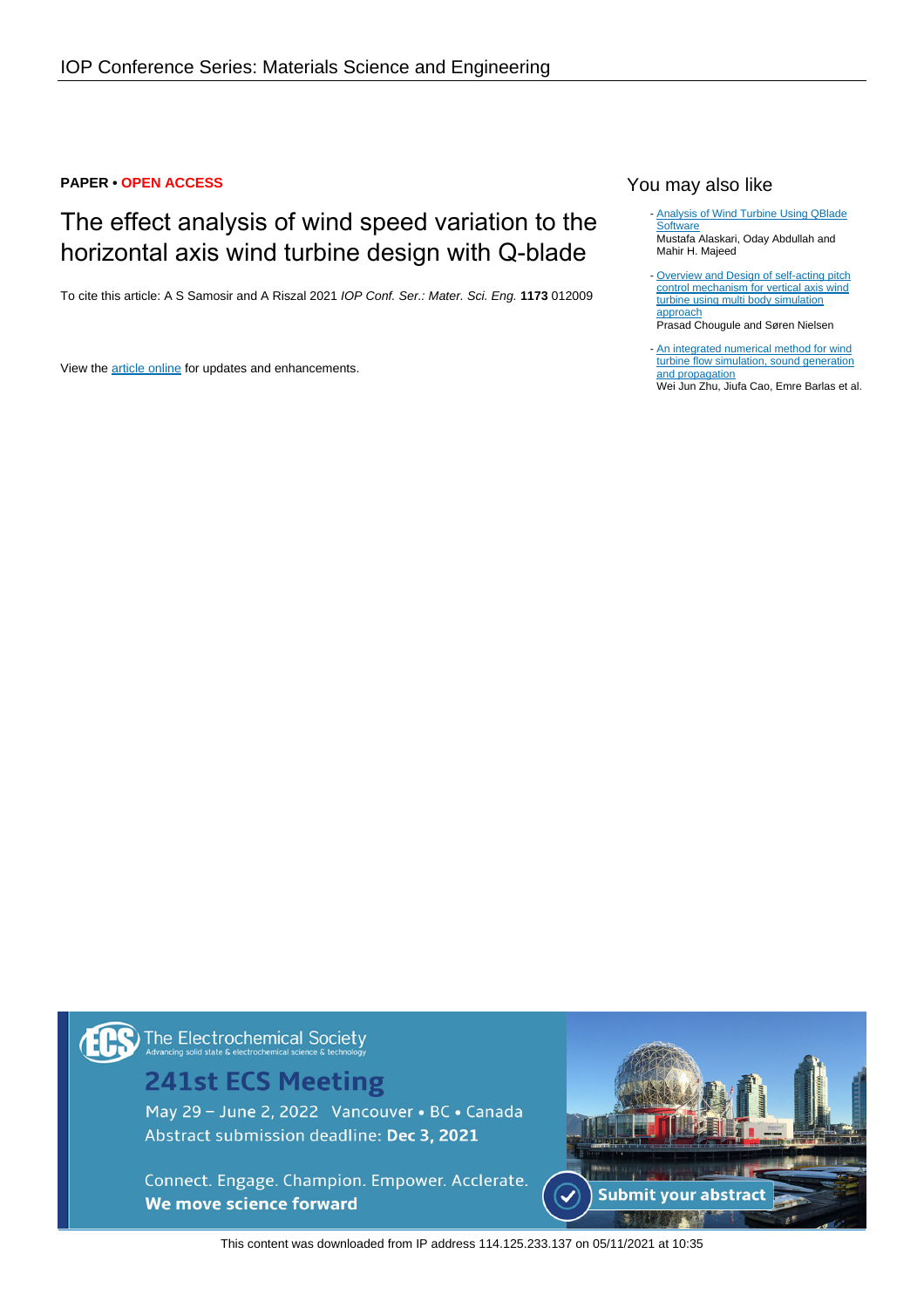### **PAPER • OPEN ACCESS**

# The effect analysis of wind speed variation to the horizontal axis wind turbine design with Q-blade

To cite this article: A S Samosir and A Riszal 2021 IOP Conf. Ser.: Mater. Sci. Eng. **1173** 012009

View the [article online](https://doi.org/10.1088/1757-899X/1173/1/012009) for updates and enhancements.

You may also like

- **[Analysis of Wind Turbine Using QBlade](https://iopscience.iop.org/article/10.1088/1757-899X/518/3/032020) [Software](https://iopscience.iop.org/article/10.1088/1757-899X/518/3/032020)** Mustafa Alaskari, Oday Abdullah and Mahir H. Majeed

[Overview and Design of self-acting pitch](https://iopscience.iop.org/article/10.1088/1742-6596/524/1/012055) [control mechanism for vertical axis wind](https://iopscience.iop.org/article/10.1088/1742-6596/524/1/012055) [turbine using multi body simulation](https://iopscience.iop.org/article/10.1088/1742-6596/524/1/012055) [approach](https://iopscience.iop.org/article/10.1088/1742-6596/524/1/012055) Prasad Chougule and Søren Nielsen -

- [An integrated numerical method for wind](https://iopscience.iop.org/article/10.1088/1742-6596/1037/2/022002) [turbine flow simulation, sound generation](https://iopscience.iop.org/article/10.1088/1742-6596/1037/2/022002) [and propagation](https://iopscience.iop.org/article/10.1088/1742-6596/1037/2/022002) Wei Jun Zhu, Jiufa Cao, Emre Barlas et al.

The Electrochemical Society

# **241st ECS Meeting**

May 29 - June 2, 2022 Vancouver • BC • Canada Abstract submission deadline: Dec 3, 2021

Connect. Engage. Champion. Empower. Acclerate. We move science forward



This content was downloaded from IP address 114.125.233.137 on 05/11/2021 at 10:35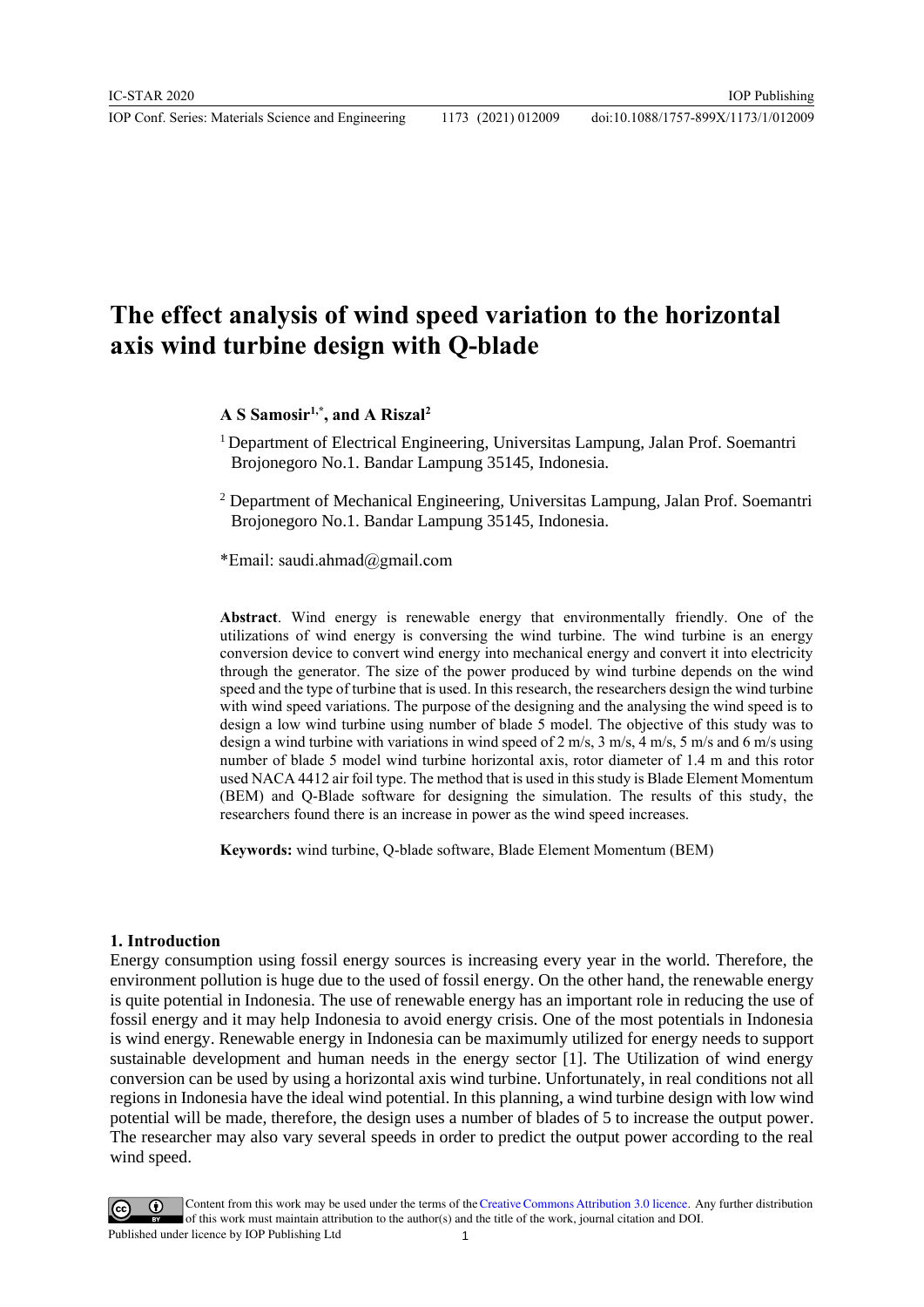## **The effect analysis of wind speed variation to the horizontal axis wind turbine design with Q-blade**

### **A S Samosir1,\* , and A Riszal<sup>2</sup>**

<sup>1</sup> Department of Electrical Engineering, Universitas Lampung, Jalan Prof. Soemantri Brojonegoro No.1. Bandar Lampung 35145, Indonesia.

<sup>2</sup> Department of Mechanical Engineering, Universitas Lampung, Jalan Prof. Soemantri Brojonegoro No.1. Bandar Lampung 35145, Indonesia.

\*Email: saudi.ahmad@gmail.com

**Abstract**. Wind energy is renewable energy that environmentally friendly. One of the utilizations of wind energy is conversing the wind turbine. The wind turbine is an energy conversion device to convert wind energy into mechanical energy and convert it into electricity through the generator. The size of the power produced by wind turbine depends on the wind speed and the type of turbine that is used. In this research, the researchers design the wind turbine with wind speed variations. The purpose of the designing and the analysing the wind speed is to design a low wind turbine using number of blade 5 model. The objective of this study was to design a wind turbine with variations in wind speed of 2 m/s, 3 m/s, 4 m/s, 5 m/s and 6 m/s using number of blade 5 model wind turbine horizontal axis, rotor diameter of 1.4 m and this rotor used NACA 4412 air foil type. The method that is used in this study is Blade Element Momentum (BEM) and Q-Blade software for designing the simulation. The results of this study, the researchers found there is an increase in power as the wind speed increases.

**Keywords:** wind turbine, Q-blade software, Blade Element Momentum (BEM)

#### **1. Introduction**

Energy consumption using fossil energy sources is increasing every year in the world. Therefore, the environment pollution is huge due to the used of fossil energy. On the other hand, the renewable energy is quite potential in Indonesia. The use of renewable energy has an important role in reducing the use of fossil energy and it may help Indonesia to avoid energy crisis. One of the most potentials in Indonesia is wind energy. Renewable energy in Indonesia can be maximumly utilized for energy needs to support sustainable development and human needs in the energy sector [1]. The Utilization of wind energy conversion can be used by using a horizontal axis wind turbine. Unfortunately, in real conditions not all regions in Indonesia have the ideal wind potential. In this planning, a wind turbine design with low wind potential will be made, therefore, the design uses a number of blades of 5 to increase the output power. The researcher may also vary several speeds in order to predict the output power according to the real wind speed.

Content from this work may be used under the terms of theCreative Commons Attribution 3.0 licence. Any further distribution of this work must maintain attribution to the author(s) and the title of the work, journal citation and DOI. Published under licence by IOP Publishing Ltd 1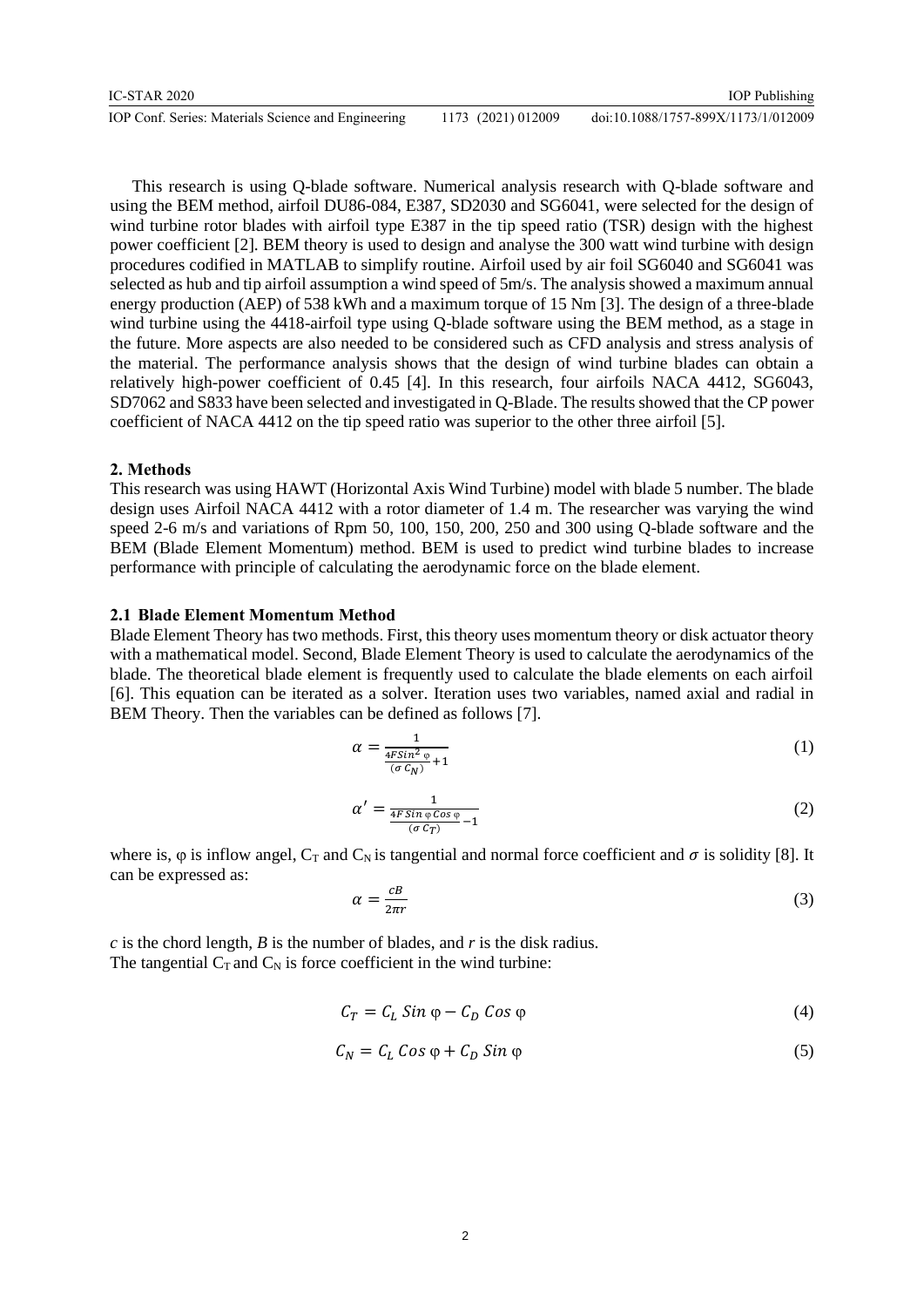| IC-STAR 2020                                        |                    | <b>IOP</b> Publishing               |
|-----------------------------------------------------|--------------------|-------------------------------------|
| IOP Conf. Series: Materials Science and Engineering | 1173 (2021) 012009 | doi:10.1088/1757-899X/1173/1/012009 |

This research is using Q-blade software. Numerical analysis research with Q-blade software and using the BEM method, airfoil DU86-084, E387, SD2030 and SG6041, were selected for the design of wind turbine rotor blades with airfoil type E387 in the tip speed ratio (TSR) design with the highest power coefficient [2]. BEM theory is used to design and analyse the 300 watt wind turbine with design procedures codified in MATLAB to simplify routine. Airfoil used by air foil SG6040 and SG6041 was selected as hub and tip airfoil assumption a wind speed of 5m/s. The analysis showed a maximum annual energy production (AEP) of 538 kWh and a maximum torque of 15 Nm [3]. The design of a three-blade wind turbine using the 4418-airfoil type using Q-blade software using the BEM method, as a stage in the future. More aspects are also needed to be considered such as CFD analysis and stress analysis of the material. The performance analysis shows that the design of wind turbine blades can obtain a relatively high-power coefficient of 0.45 [4]. In this research, four airfoils NACA 4412, SG6043, SD7062 and S833 have been selected and investigated in Q-Blade. The results showed that the CP power coefficient of NACA 4412 on the tip speed ratio was superior to the other three airfoil [5].

### **2. Methods**

This research was using HAWT (Horizontal Axis Wind Turbine) model with blade 5 number. The blade design uses Airfoil NACA 4412 with a rotor diameter of 1.4 m. The researcher was varying the wind speed 2-6 m/s and variations of Rpm 50, 100, 150, 200, 250 and 300 using Q-blade software and the BEM (Blade Element Momentum) method. BEM is used to predict wind turbine blades to increase performance with principle of calculating the aerodynamic force on the blade element.

### **2.1 Blade Element Momentum Method**

Blade Element Theory has two methods. First, this theory uses momentum theory or disk actuator theory with a mathematical model. Second, Blade Element Theory is used to calculate the aerodynamics of the blade. The theoretical blade element is frequently used to calculate the blade elements on each airfoil [6]. This equation can be iterated as a solver. Iteration uses two variables, named axial and radial in BEM Theory. Then the variables can be defined as follows [7].

$$
\alpha = \frac{1}{\frac{4FS\ln^2 \varphi}{(\sigma C_N)} + 1} \tag{1}
$$

$$
\alpha' = \frac{1}{\frac{4F\sin\varphi\cos\varphi}{(\sigma\,C_T)} - 1} \tag{2}
$$

where is,  $\varphi$  is inflow angel, C<sub>T</sub> and C<sub>N</sub> is tangential and normal force coefficient and  $\sigma$  is solidity [8]. It can be expressed as:

$$
\alpha = \frac{c}{2\pi r} \tag{3}
$$

*c* is the chord length, *B* is the number of blades, and *r* is the disk radius. The tangential  $C_T$  and  $C_N$  is force coefficient in the wind turbine:

$$
C_T = C_L \sin \varphi - C_D \cos \varphi \tag{4}
$$

$$
C_N = C_L \cos \varphi + C_D \sin \varphi \tag{5}
$$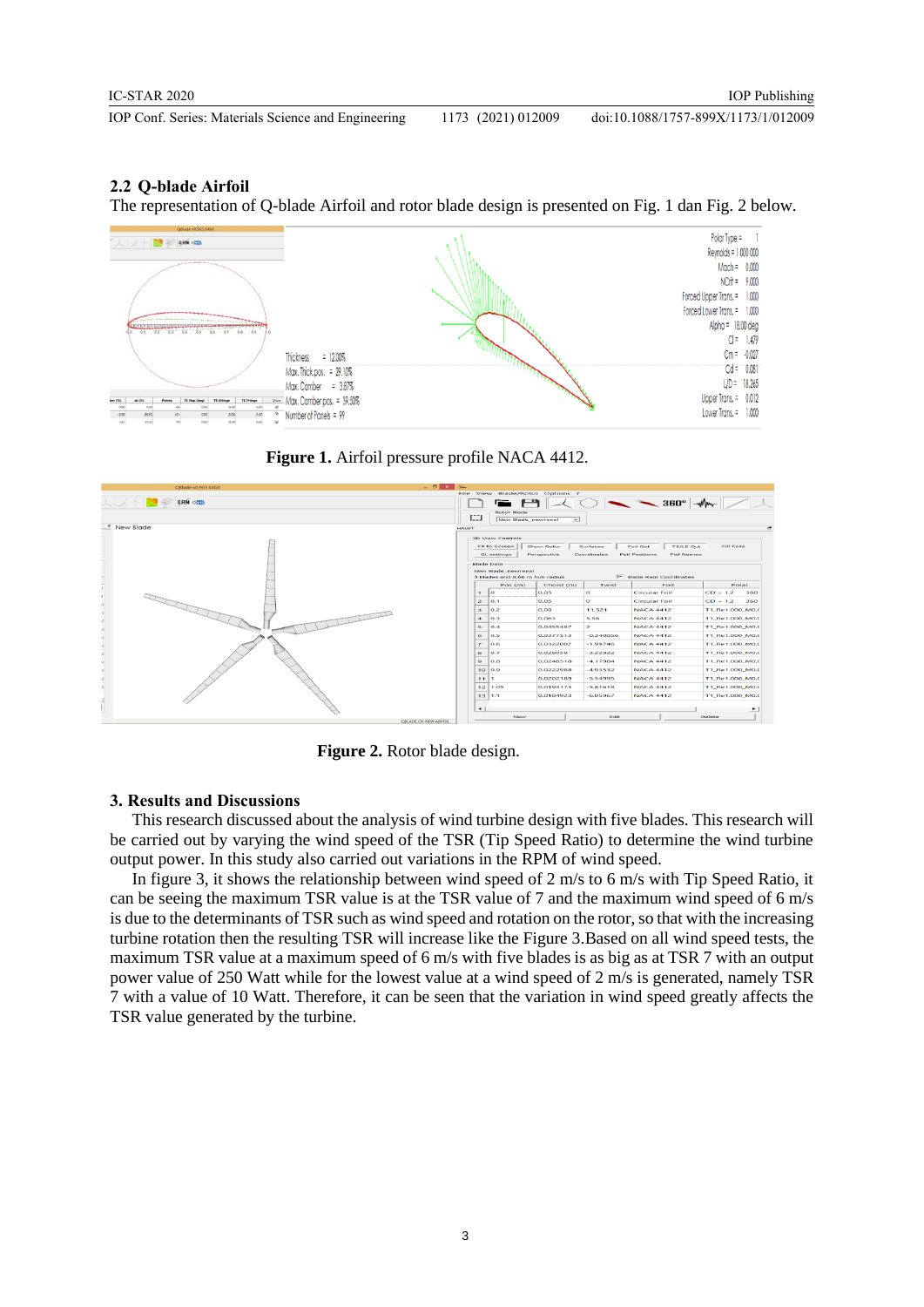### **2.2 Q-blade Airfoil**

The representation of Q-blade Airfoil and rotor blade design is presented on Fig. 1 dan Fig. 2 below.



**Figure 1.** Airfoil pressure profile NACA 4412.



**Figure 2.** Rotor blade design.

#### **3. Results and Discussions**

This research discussed about the analysis of wind turbine design with five blades. This research will be carried out by varying the wind speed of the TSR (Tip Speed Ratio) to determine the wind turbine output power. In this study also carried out variations in the RPM of wind speed.

In figure 3, it shows the relationship between wind speed of 2 m/s to 6 m/s with Tip Speed Ratio, it can be seeing the maximum TSR value is at the TSR value of 7 and the maximum wind speed of 6 m/s is due to the determinants of TSR such as wind speed and rotation on the rotor, so that with the increasing turbine rotation then the resulting TSR will increase like the Figure 3.Based on all wind speed tests, the maximum TSR value at a maximum speed of 6 m/s with five blades is as big as at TSR 7 with an output power value of 250 Watt while for the lowest value at a wind speed of 2 m/s is generated, namely TSR 7 with a value of 10 Watt. Therefore, it can be seen that the variation in wind speed greatly affects the TSR value generated by the turbine.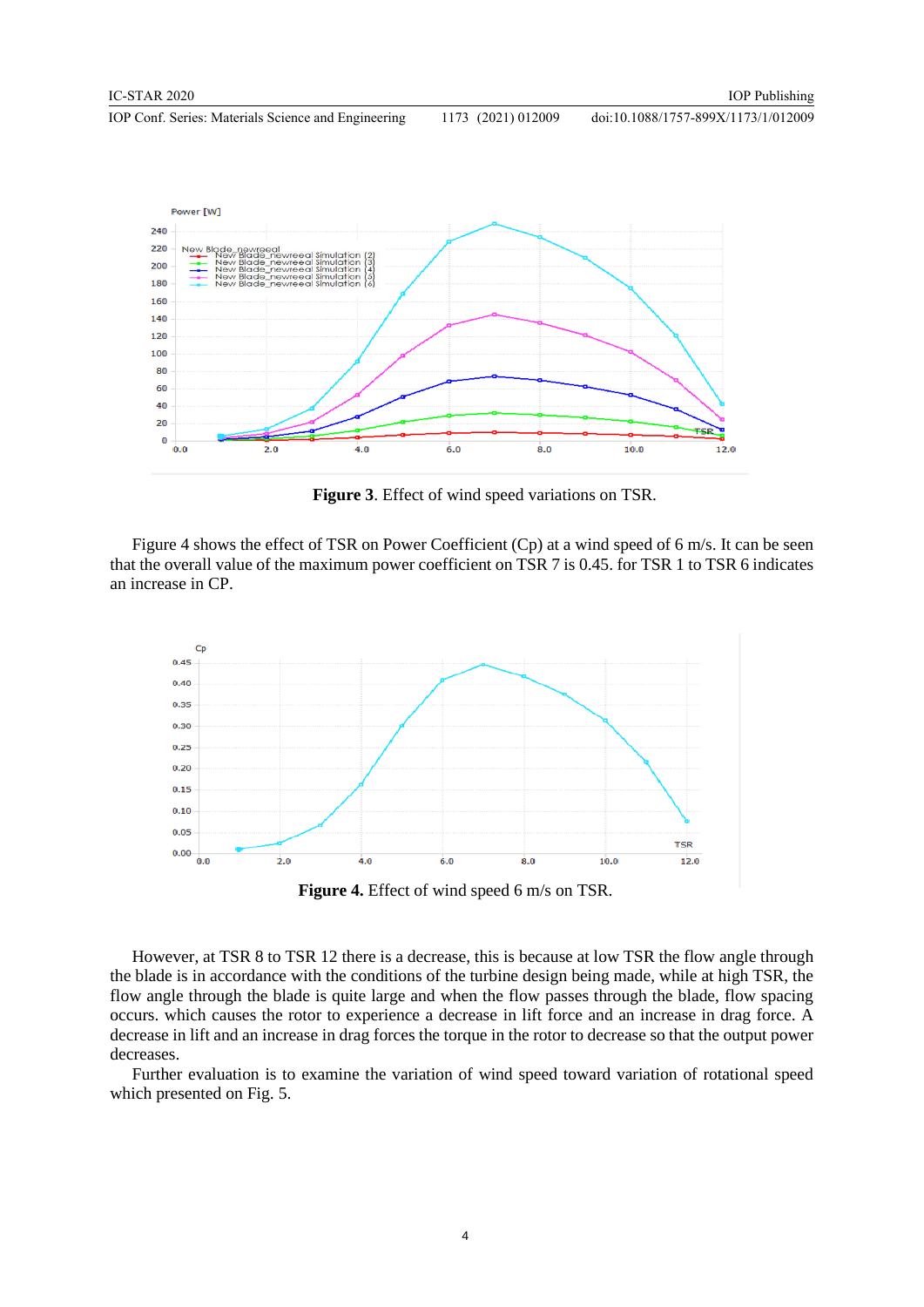doi:10.1088/1757-899X/1173/1/012009



**Figure 3**. Effect of wind speed variations on TSR.

Figure 4 shows the effect of TSR on Power Coefficient (Cp) at a wind speed of 6 m/s. It can be seen that the overall value of the maximum power coefficient on TSR 7 is 0.45. for TSR 1 to TSR 6 indicates an increase in CP.



**Figure 4.** Effect of wind speed 6 m/s on TSR.

However, at TSR 8 to TSR 12 there is a decrease, this is because at low TSR the flow angle through the blade is in accordance with the conditions of the turbine design being made, while at high TSR, the flow angle through the blade is quite large and when the flow passes through the blade, flow spacing occurs. which causes the rotor to experience a decrease in lift force and an increase in drag force. A decrease in lift and an increase in drag forces the torque in the rotor to decrease so that the output power decreases.

Further evaluation is to examine the variation of wind speed toward variation of rotational speed which presented on Fig. 5.